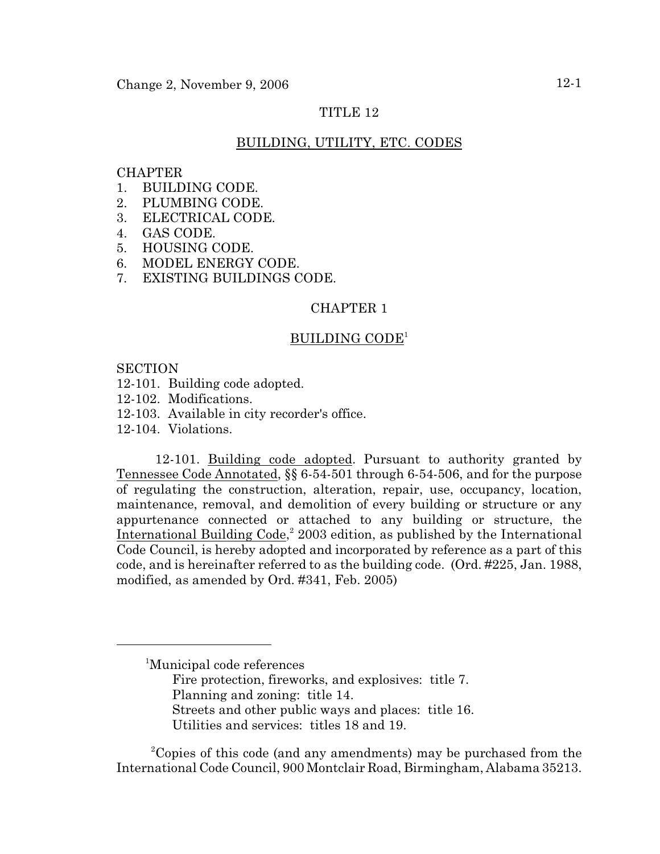# TITLE 12

# BUILDING, UTILITY, ETC. CODES

# **CHAPTER**

- 1. BUILDING CODE.
- 2. PLUMBING CODE.
- 3. ELECTRICAL CODE.
- 4. GAS CODE.
- 5. HOUSING CODE.
- 6. MODEL ENERGY CODE.
- 7. EXISTING BUILDINGS CODE.

### CHAPTER 1

# BUILDING CODE<sup>1</sup>

### **SECTION**

- 12-101. Building code adopted.
- 12-102. Modifications.
- 12-103. Available in city recorder's office.
- 12-104. Violations.

12-101. Building code adopted. Pursuant to authority granted by Tennessee Code Annotated, §§ 6-54-501 through 6-54-506, and for the purpose of regulating the construction, alteration, repair, use, occupancy, location, maintenance, removal, and demolition of every building or structure or any appurtenance connected or attached to any building or structure, the International Building Code, $2003$  edition, as published by the International Code Council, is hereby adopted and incorporated by reference as a part of this code, and is hereinafter referred to as the building code. (Ord. #225, Jan. 1988, modified, as amended by Ord. #341, Feb. 2005)

- Fire protection, fireworks, and explosives: title 7. Planning and zoning: title 14. Streets and other public ways and places: title 16.
- Utilities and services: titles 18 and 19.

<sup>2</sup>Copies of this code (and any amendments) may be purchased from the International Code Council, 900 Montclair Road, Birmingham, Alabama 35213.

<sup>&</sup>lt;sup>1</sup>Municipal code references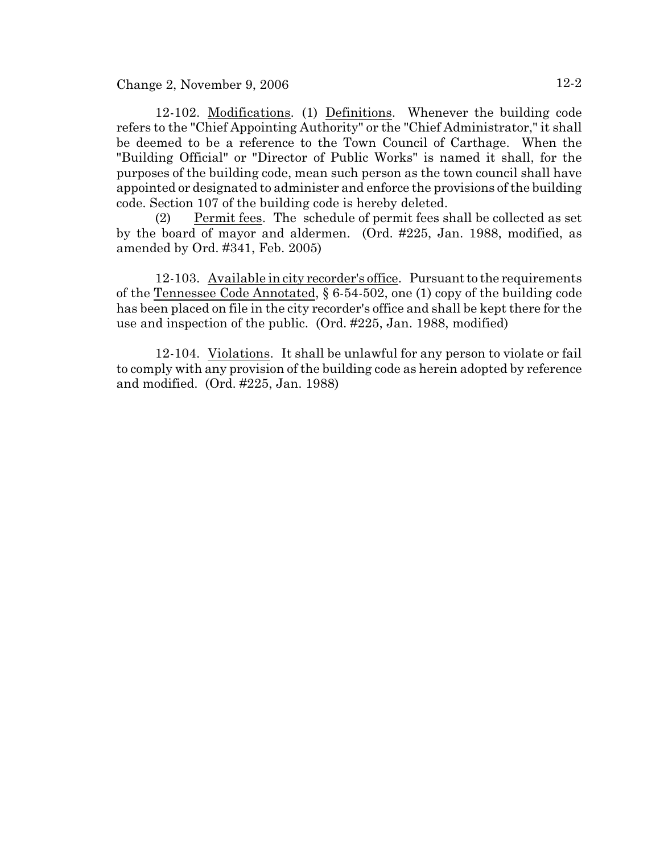Change 2, November 9, 2006  $12-2$ 

12-102. Modifications. (1) Definitions. Whenever the building code refers to the "Chief Appointing Authority" or the "Chief Administrator," it shall be deemed to be a reference to the Town Council of Carthage. When the "Building Official" or "Director of Public Works" is named it shall, for the purposes of the building code, mean such person as the town council shall have appointed or designated to administer and enforce the provisions of the building code. Section 107 of the building code is hereby deleted.

(2) Permit fees. The schedule of permit fees shall be collected as set by the board of mayor and aldermen. (Ord. #225, Jan. 1988, modified, as amended by Ord. #341, Feb. 2005)

12-103. Available in city recorder's office. Pursuant to the requirements of the Tennessee Code Annotated, § 6-54-502, one (1) copy of the building code has been placed on file in the city recorder's office and shall be kept there for the use and inspection of the public. (Ord. #225, Jan. 1988, modified)

12-104. Violations. It shall be unlawful for any person to violate or fail to comply with any provision of the building code as herein adopted by reference and modified. (Ord. #225, Jan. 1988)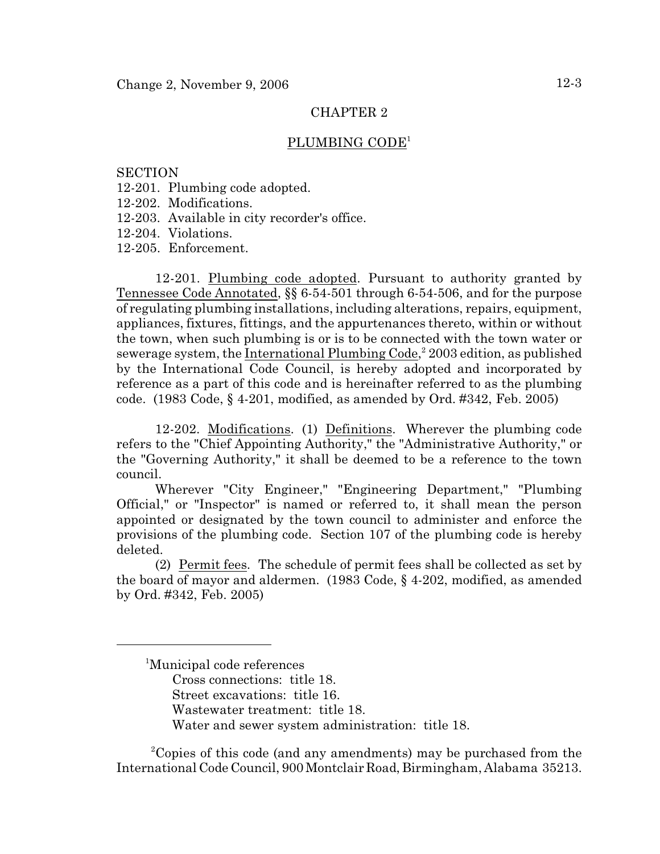### PLUMBING CODE<sup>1</sup>

### **SECTION**

- 12-201. Plumbing code adopted.
- 12-202. Modifications.
- 12-203. Available in city recorder's office.
- 12-204. Violations.
- 12-205. Enforcement.

12-201. Plumbing code adopted. Pursuant to authority granted by Tennessee Code Annotated, §§ 6-54-501 through 6-54-506, and for the purpose of regulating plumbing installations, including alterations, repairs, equipment, appliances, fixtures, fittings, and the appurtenances thereto, within or without the town, when such plumbing is or is to be connected with the town water or sewerage system, the International Plumbing Code, $2003$  edition, as published by the International Code Council, is hereby adopted and incorporated by reference as a part of this code and is hereinafter referred to as the plumbing code. (1983 Code, § 4-201, modified, as amended by Ord. #342, Feb. 2005)

12-202. Modifications. (1) Definitions. Wherever the plumbing code refers to the "Chief Appointing Authority," the "Administrative Authority," or the "Governing Authority," it shall be deemed to be a reference to the town council.

Wherever "City Engineer," "Engineering Department," "Plumbing Official," or "Inspector" is named or referred to, it shall mean the person appointed or designated by the town council to administer and enforce the provisions of the plumbing code. Section 107 of the plumbing code is hereby deleted.

(2) Permit fees. The schedule of permit fees shall be collected as set by the board of mayor and aldermen. (1983 Code, § 4-202, modified, as amended by Ord. #342, Feb. 2005)

<sup>2</sup>Copies of this code (and any amendments) may be purchased from the International Code Council, 900 Montclair Road, Birmingham, Alabama 35213.

<sup>&</sup>lt;sup>1</sup>Municipal code references Cross connections: title 18. Street excavations: title 16. Wastewater treatment: title 18. Water and sewer system administration: title 18.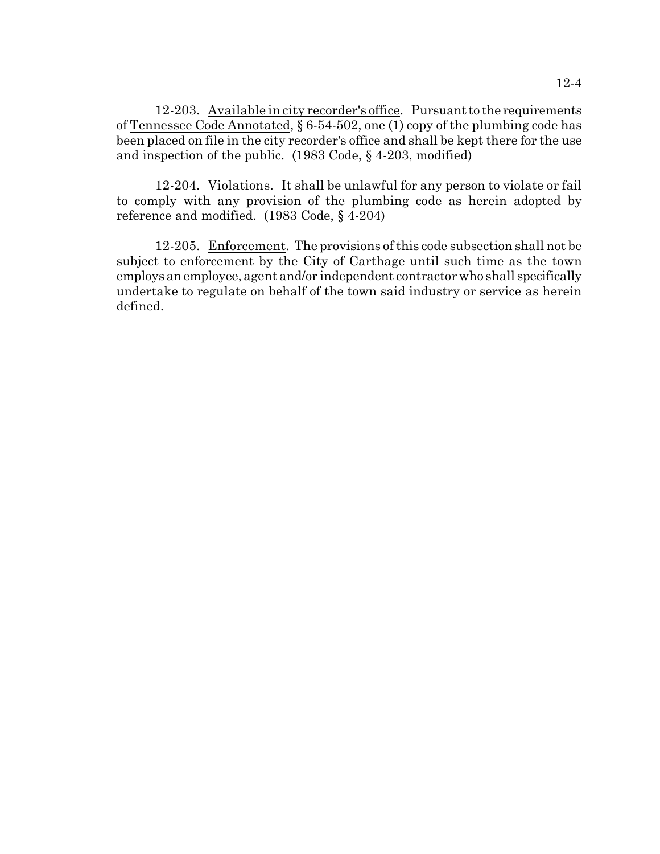12-203. Available in city recorder's office. Pursuant to the requirements of Tennessee Code Annotated, § 6-54-502, one (1) copy of the plumbing code has been placed on file in the city recorder's office and shall be kept there for the use and inspection of the public. (1983 Code, § 4-203, modified)

12-204. Violations. It shall be unlawful for any person to violate or fail to comply with any provision of the plumbing code as herein adopted by reference and modified. (1983 Code, § 4-204)

12-205. Enforcement. The provisions of this code subsection shall not be subject to enforcement by the City of Carthage until such time as the town employs an employee, agent and/or independent contractor who shall specifically undertake to regulate on behalf of the town said industry or service as herein defined.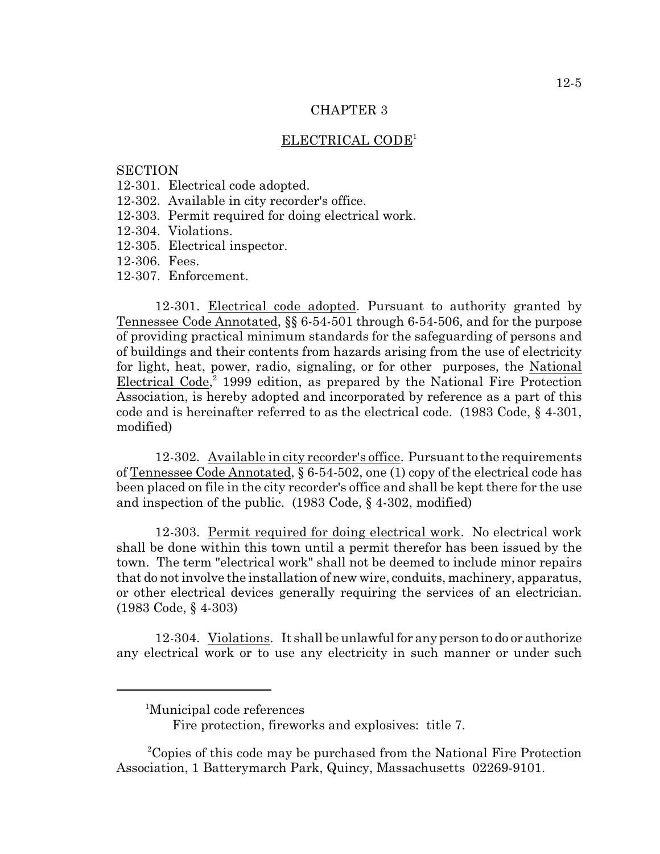### ELECTRICAL CODE<sup>1</sup>

### **SECTION**

- 12-301. Electrical code adopted.
- 12-302. Available in city recorder's office.
- 12-303. Permit required for doing electrical work.
- 12-304. Violations.
- 12-305. Electrical inspector.
- 12-306. Fees.
- 12-307. Enforcement.

12-301. Electrical code adopted. Pursuant to authority granted by Tennessee Code Annotated, §§ 6-54-501 through 6-54-506, and for the purpose of providing practical minimum standards for the safeguarding of persons and of buildings and their contents from hazards arising from the use of electricity for light, heat, power, radio, signaling, or for other purposes, the National Electrical Code, $3$  1999 edition, as prepared by the National Fire Protection Association, is hereby adopted and incorporated by reference as a part of this code and is hereinafter referred to as the electrical code. (1983 Code, § 4-301, modified)

12-302. Available in city recorder's office. Pursuant to the requirements of Tennessee Code Annotated, § 6-54-502, one (1) copy of the electrical code has been placed on file in the city recorder's office and shall be kept there for the use and inspection of the public. (1983 Code, § 4-302, modified)

12-303. Permit required for doing electrical work. No electrical work shall be done within this town until a permit therefor has been issued by the town. The term "electrical work" shall not be deemed to include minor repairs that do not involve the installation of new wire, conduits, machinery, apparatus, or other electrical devices generally requiring the services of an electrician. (1983 Code, § 4-303)

12-304. Violations. It shall be unlawful for any person to do or authorize any electrical work or to use any electricity in such manner or under such

<sup>&</sup>lt;sup>1</sup>Municipal code references

Fire protection, fireworks and explosives: title 7.

<sup>&</sup>lt;sup>2</sup>Copies of this code may be purchased from the National Fire Protection Association, 1 Batterymarch Park, Quincy, Massachusetts 02269-9101.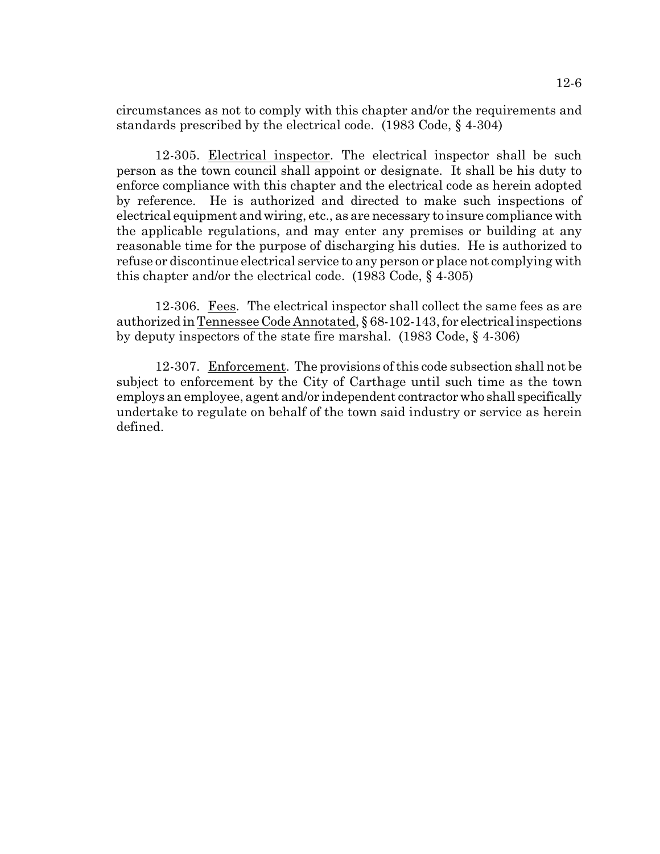circumstances as not to comply with this chapter and/or the requirements and standards prescribed by the electrical code. (1983 Code, § 4-304)

12-305. Electrical inspector. The electrical inspector shall be such person as the town council shall appoint or designate. It shall be his duty to enforce compliance with this chapter and the electrical code as herein adopted by reference. He is authorized and directed to make such inspections of electrical equipment and wiring, etc., as are necessary to insure compliance with the applicable regulations, and may enter any premises or building at any reasonable time for the purpose of discharging his duties. He is authorized to refuse or discontinue electrical service to any person or place not complying with this chapter and/or the electrical code. (1983 Code, § 4-305)

12-306. Fees. The electrical inspector shall collect the same fees as are authorized in Tennessee Code Annotated, § 68-102-143, for electrical inspections by deputy inspectors of the state fire marshal. (1983 Code, § 4-306)

12-307. Enforcement. The provisions of this code subsection shall not be subject to enforcement by the City of Carthage until such time as the town employs an employee, agent and/or independent contractor who shall specifically undertake to regulate on behalf of the town said industry or service as herein defined.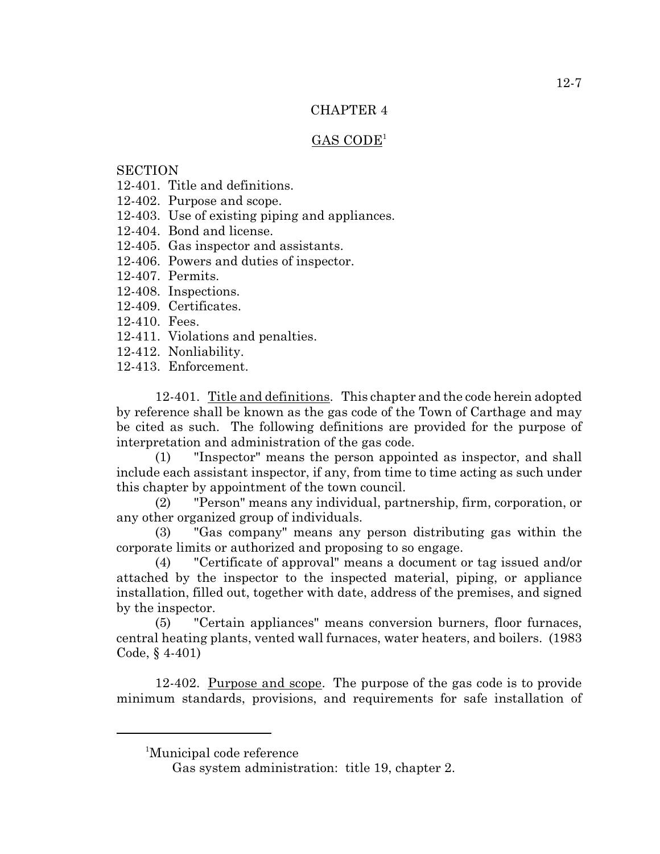# $GAS$   $CODE<sup>1</sup>$

# **SECTION**

- 12-401. Title and definitions.
- 12-402. Purpose and scope.
- 12-403. Use of existing piping and appliances.
- 12-404. Bond and license.
- 12-405. Gas inspector and assistants.
- 12-406. Powers and duties of inspector.
- 12-407. Permits.
- 12-408. Inspections.
- 12-409. Certificates.
- 12-410. Fees.
- 12-411. Violations and penalties.
- 12-412. Nonliability.
- 12-413. Enforcement.

12-401. Title and definitions. This chapter and the code herein adopted by reference shall be known as the gas code of the Town of Carthage and may be cited as such. The following definitions are provided for the purpose of interpretation and administration of the gas code.

(1) "Inspector" means the person appointed as inspector, and shall include each assistant inspector, if any, from time to time acting as such under this chapter by appointment of the town council.

(2) "Person" means any individual, partnership, firm, corporation, or any other organized group of individuals.

(3) "Gas company" means any person distributing gas within the corporate limits or authorized and proposing to so engage.

(4) "Certificate of approval" means a document or tag issued and/or attached by the inspector to the inspected material, piping, or appliance installation, filled out, together with date, address of the premises, and signed by the inspector.

(5) "Certain appliances" means conversion burners, floor furnaces, central heating plants, vented wall furnaces, water heaters, and boilers. (1983 Code, § 4-401)

12-402. Purpose and scope. The purpose of the gas code is to provide minimum standards, provisions, and requirements for safe installation of

<sup>&</sup>lt;sup>1</sup>Municipal code reference

Gas system administration: title 19, chapter 2.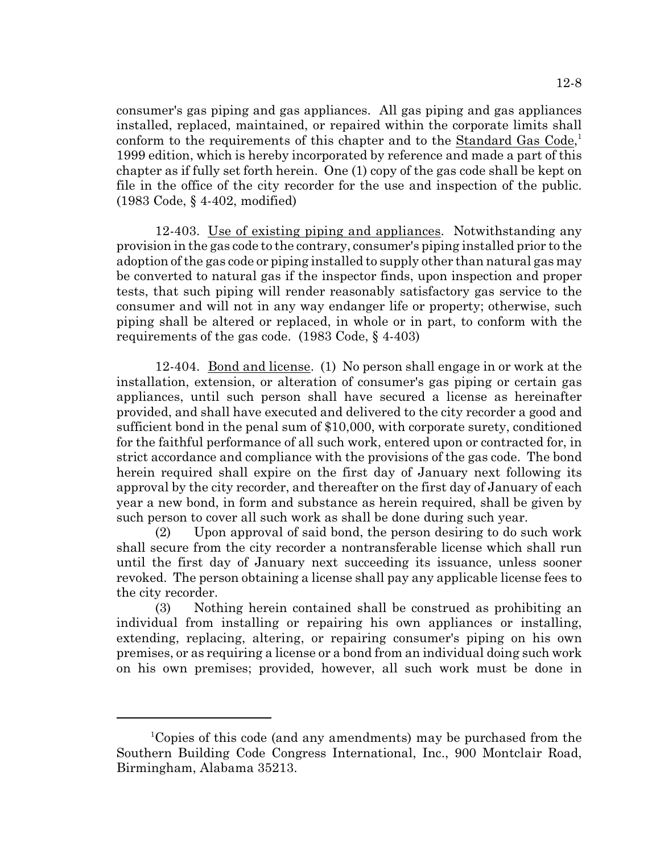consumer's gas piping and gas appliances. All gas piping and gas appliances installed, replaced, maintained, or repaired within the corporate limits shall conform to the requirements of this chapter and to the Standard Gas Code,<sup>1</sup> 1999 edition, which is hereby incorporated by reference and made a part of this chapter as if fully set forth herein. One (1) copy of the gas code shall be kept on file in the office of the city recorder for the use and inspection of the public. (1983 Code, § 4-402, modified)

12-403. Use of existing piping and appliances. Notwithstanding any provision in the gas code to the contrary, consumer's piping installed prior to the adoption of the gas code or piping installed to supply other than natural gas may be converted to natural gas if the inspector finds, upon inspection and proper tests, that such piping will render reasonably satisfactory gas service to the consumer and will not in any way endanger life or property; otherwise, such piping shall be altered or replaced, in whole or in part, to conform with the requirements of the gas code. (1983 Code, § 4-403)

12-404. Bond and license. (1) No person shall engage in or work at the installation, extension, or alteration of consumer's gas piping or certain gas appliances, until such person shall have secured a license as hereinafter provided, and shall have executed and delivered to the city recorder a good and sufficient bond in the penal sum of \$10,000, with corporate surety, conditioned for the faithful performance of all such work, entered upon or contracted for, in strict accordance and compliance with the provisions of the gas code. The bond herein required shall expire on the first day of January next following its approval by the city recorder, and thereafter on the first day of January of each year a new bond, in form and substance as herein required, shall be given by such person to cover all such work as shall be done during such year.

(2) Upon approval of said bond, the person desiring to do such work shall secure from the city recorder a nontransferable license which shall run until the first day of January next succeeding its issuance, unless sooner revoked. The person obtaining a license shall pay any applicable license fees to the city recorder.

(3) Nothing herein contained shall be construed as prohibiting an individual from installing or repairing his own appliances or installing, extending, replacing, altering, or repairing consumer's piping on his own premises, or as requiring a license or a bond from an individual doing such work on his own premises; provided, however, all such work must be done in

<sup>&</sup>lt;sup>1</sup>Copies of this code (and any amendments) may be purchased from the Southern Building Code Congress International, Inc., 900 Montclair Road, Birmingham, Alabama 35213.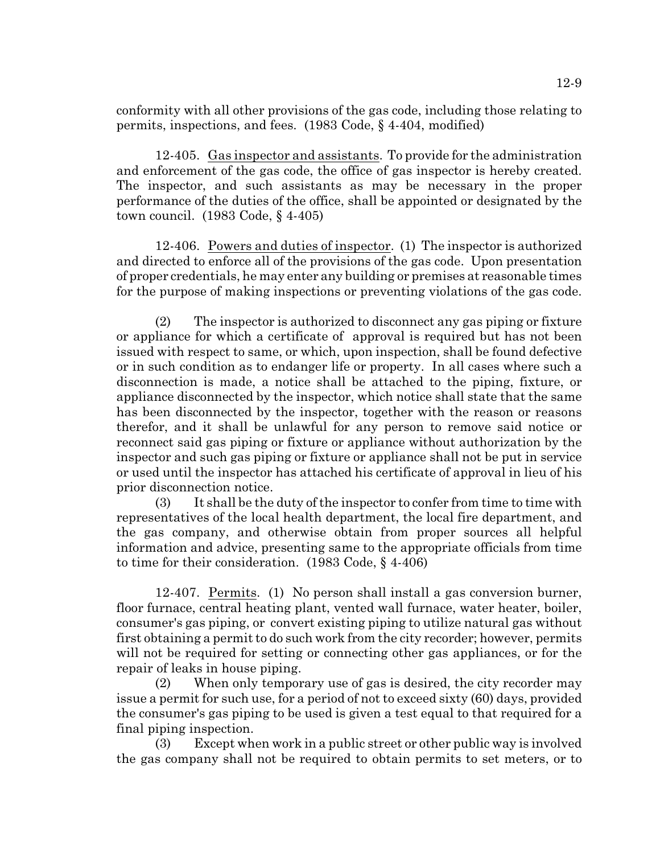conformity with all other provisions of the gas code, including those relating to permits, inspections, and fees. (1983 Code, § 4-404, modified)

12-405. Gas inspector and assistants. To provide for the administration and enforcement of the gas code, the office of gas inspector is hereby created. The inspector, and such assistants as may be necessary in the proper performance of the duties of the office, shall be appointed or designated by the town council. (1983 Code, § 4-405)

12-406. Powers and duties of inspector. (1) The inspector is authorized and directed to enforce all of the provisions of the gas code. Upon presentation of proper credentials, he may enter any building or premises at reasonable times for the purpose of making inspections or preventing violations of the gas code.

(2) The inspector is authorized to disconnect any gas piping or fixture or appliance for which a certificate of approval is required but has not been issued with respect to same, or which, upon inspection, shall be found defective or in such condition as to endanger life or property. In all cases where such a disconnection is made, a notice shall be attached to the piping, fixture, or appliance disconnected by the inspector, which notice shall state that the same has been disconnected by the inspector, together with the reason or reasons therefor, and it shall be unlawful for any person to remove said notice or reconnect said gas piping or fixture or appliance without authorization by the inspector and such gas piping or fixture or appliance shall not be put in service or used until the inspector has attached his certificate of approval in lieu of his prior disconnection notice.

(3) It shall be the duty of the inspector to confer from time to time with representatives of the local health department, the local fire department, and the gas company, and otherwise obtain from proper sources all helpful information and advice, presenting same to the appropriate officials from time to time for their consideration. (1983 Code, § 4-406)

12-407. Permits. (1) No person shall install a gas conversion burner, floor furnace, central heating plant, vented wall furnace, water heater, boiler, consumer's gas piping, or convert existing piping to utilize natural gas without first obtaining a permit to do such work from the city recorder; however, permits will not be required for setting or connecting other gas appliances, or for the repair of leaks in house piping.

(2) When only temporary use of gas is desired, the city recorder may issue a permit for such use, for a period of not to exceed sixty (60) days, provided the consumer's gas piping to be used is given a test equal to that required for a final piping inspection.

(3) Except when work in a public street or other public way is involved the gas company shall not be required to obtain permits to set meters, or to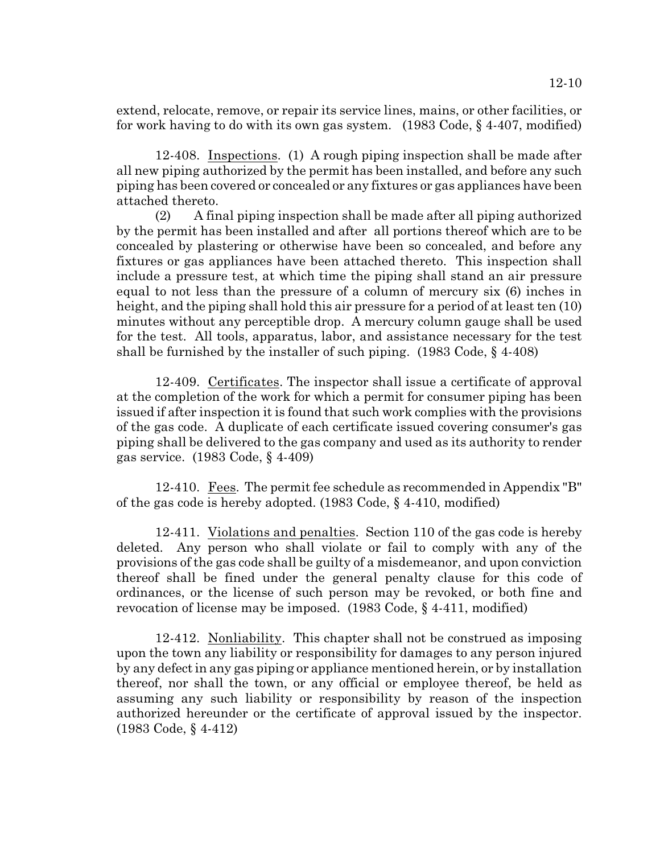extend, relocate, remove, or repair its service lines, mains, or other facilities, or for work having to do with its own gas system. (1983 Code, § 4-407, modified)

12-408. Inspections. (1) A rough piping inspection shall be made after all new piping authorized by the permit has been installed, and before any such piping has been covered or concealed or any fixtures or gas appliances have been attached thereto.

(2) A final piping inspection shall be made after all piping authorized by the permit has been installed and after all portions thereof which are to be concealed by plastering or otherwise have been so concealed, and before any fixtures or gas appliances have been attached thereto. This inspection shall include a pressure test, at which time the piping shall stand an air pressure equal to not less than the pressure of a column of mercury six (6) inches in height, and the piping shall hold this air pressure for a period of at least ten (10) minutes without any perceptible drop. A mercury column gauge shall be used for the test. All tools, apparatus, labor, and assistance necessary for the test shall be furnished by the installer of such piping. (1983 Code, § 4-408)

12-409. Certificates. The inspector shall issue a certificate of approval at the completion of the work for which a permit for consumer piping has been issued if after inspection it is found that such work complies with the provisions of the gas code. A duplicate of each certificate issued covering consumer's gas piping shall be delivered to the gas company and used as its authority to render gas service. (1983 Code, § 4-409)

12-410. Fees. The permit fee schedule as recommended in Appendix "B" of the gas code is hereby adopted. (1983 Code, § 4-410, modified)

12-411. Violations and penalties. Section 110 of the gas code is hereby deleted. Any person who shall violate or fail to comply with any of the provisions of the gas code shall be guilty of a misdemeanor, and upon conviction thereof shall be fined under the general penalty clause for this code of ordinances, or the license of such person may be revoked, or both fine and revocation of license may be imposed. (1983 Code, § 4-411, modified)

12-412. Nonliability. This chapter shall not be construed as imposing upon the town any liability or responsibility for damages to any person injured by any defect in any gas piping or appliance mentioned herein, or by installation thereof, nor shall the town, or any official or employee thereof, be held as assuming any such liability or responsibility by reason of the inspection authorized hereunder or the certificate of approval issued by the inspector. (1983 Code, § 4-412)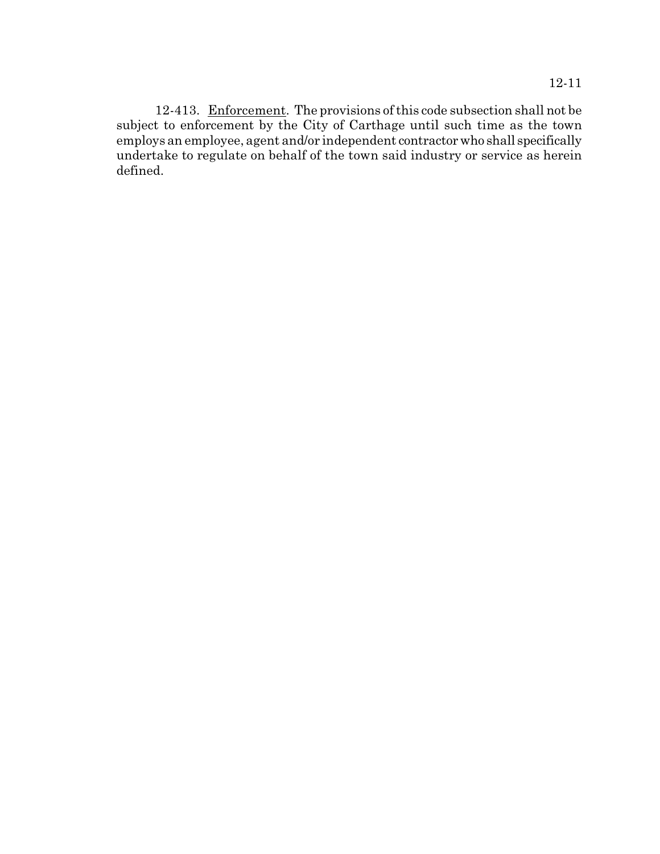12-413. Enforcement. The provisions of this code subsection shall not be subject to enforcement by the City of Carthage until such time as the town employs an employee, agent and/or independent contractor who shall specifically undertake to regulate on behalf of the town said industry or service as herein defined.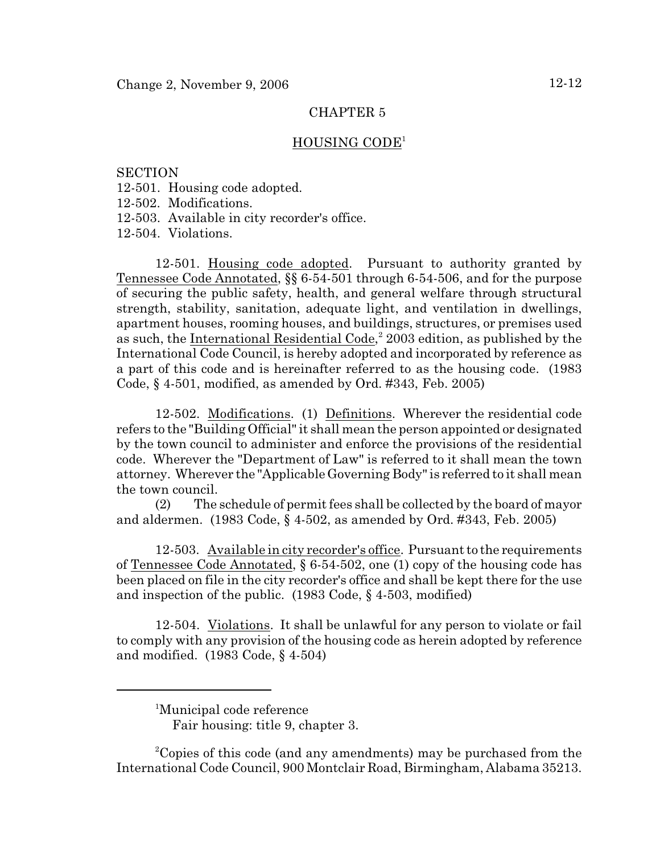### HOUSING CODE<sup>1</sup>

### **SECTION**

- 12-501. Housing code adopted.
- 12-502. Modifications.
- 12-503. Available in city recorder's office.

12-504. Violations.

12-501. Housing code adopted. Pursuant to authority granted by Tennessee Code Annotated, §§ 6-54-501 through 6-54-506, and for the purpose of securing the public safety, health, and general welfare through structural strength, stability, sanitation, adequate light, and ventilation in dwellings, apartment houses, rooming houses, and buildings, structures, or premises used as such, the International Residential Code, $2003$  edition, as published by the International Code Council, is hereby adopted and incorporated by reference as a part of this code and is hereinafter referred to as the housing code. (1983 Code, § 4-501, modified, as amended by Ord. #343, Feb. 2005)

12-502. Modifications. (1) Definitions. Wherever the residential code refers to the "Building Official" it shall mean the person appointed or designated by the town council to administer and enforce the provisions of the residential code. Wherever the "Department of Law" is referred to it shall mean the town attorney. Wherever the "Applicable Governing Body" is referred to it shall mean the town council.

(2) The schedule of permit fees shall be collected by the board of mayor and aldermen. (1983 Code, § 4-502, as amended by Ord. #343, Feb. 2005)

12-503. Available in city recorder's office. Pursuant to the requirements of Tennessee Code Annotated, § 6-54-502, one (1) copy of the housing code has been placed on file in the city recorder's office and shall be kept there for the use and inspection of the public. (1983 Code, § 4-503, modified)

12-504. Violations. It shall be unlawful for any person to violate or fail to comply with any provision of the housing code as herein adopted by reference and modified. (1983 Code, § 4-504)

<sup>2</sup>Copies of this code (and any amendments) may be purchased from the International Code Council, 900 Montclair Road, Birmingham, Alabama 35213.

<sup>&</sup>lt;sup>1</sup>Municipal code reference

Fair housing: title 9, chapter 3.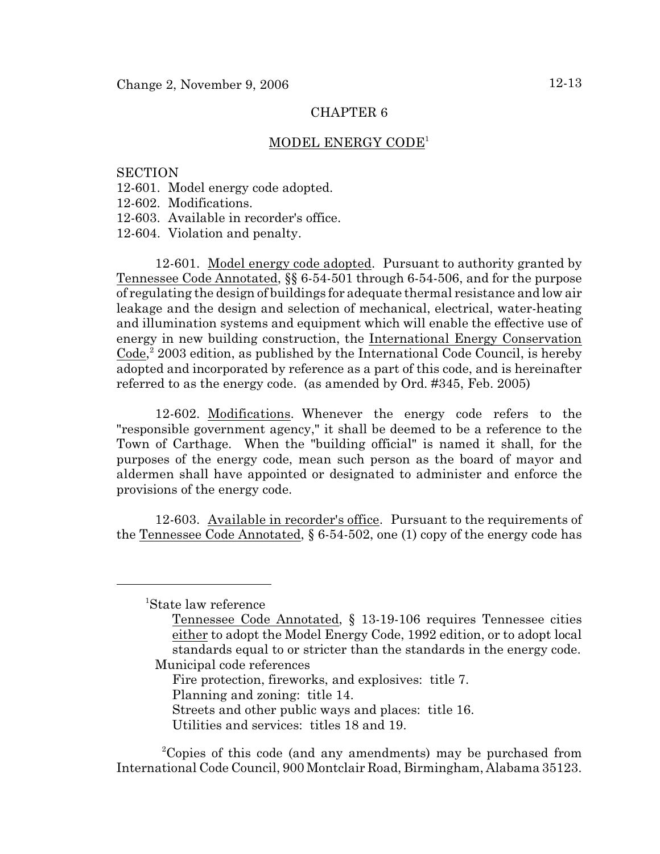### MODEL ENERGY CODE<sup>1</sup>

### **SECTION**

- 12-601. Model energy code adopted.
- 12-602. Modifications.
- 12-603. Available in recorder's office.
- 12-604. Violation and penalty.

12-601. Model energy code adopted. Pursuant to authority granted by Tennessee Code Annotated, §§ 6-54-501 through 6-54-506, and for the purpose of regulating the design of buildings for adequate thermal resistance and low air leakage and the design and selection of mechanical, electrical, water-heating and illumination systems and equipment which will enable the effective use of energy in new building construction, the International Energy Conservation  $Code<sub>i</sub><sup>2</sup> 2003 edition, as published by the International Code Council, is hereby$ adopted and incorporated by reference as a part of this code, and is hereinafter referred to as the energy code. (as amended by Ord. #345, Feb. 2005)

12-602. Modifications. Whenever the energy code refers to the "responsible government agency," it shall be deemed to be a reference to the Town of Carthage. When the "building official" is named it shall, for the purposes of the energy code, mean such person as the board of mayor and aldermen shall have appointed or designated to administer and enforce the provisions of the energy code.

12-603. Available in recorder's office. Pursuant to the requirements of the Tennessee Code Annotated, § 6-54-502, one (1) copy of the energy code has

<sup>1</sup>State law reference

Fire protection, fireworks, and explosives: title 7.

Planning and zoning: title 14.

Streets and other public ways and places: title 16.

Utilities and services: titles 18 and 19.

<sup>2</sup>Copies of this code (and any amendments) may be purchased from International Code Council, 900 Montclair Road, Birmingham, Alabama 35123.

Tennessee Code Annotated, § 13-19-106 requires Tennessee cities either to adopt the Model Energy Code, 1992 edition, or to adopt local standards equal to or stricter than the standards in the energy code. Municipal code references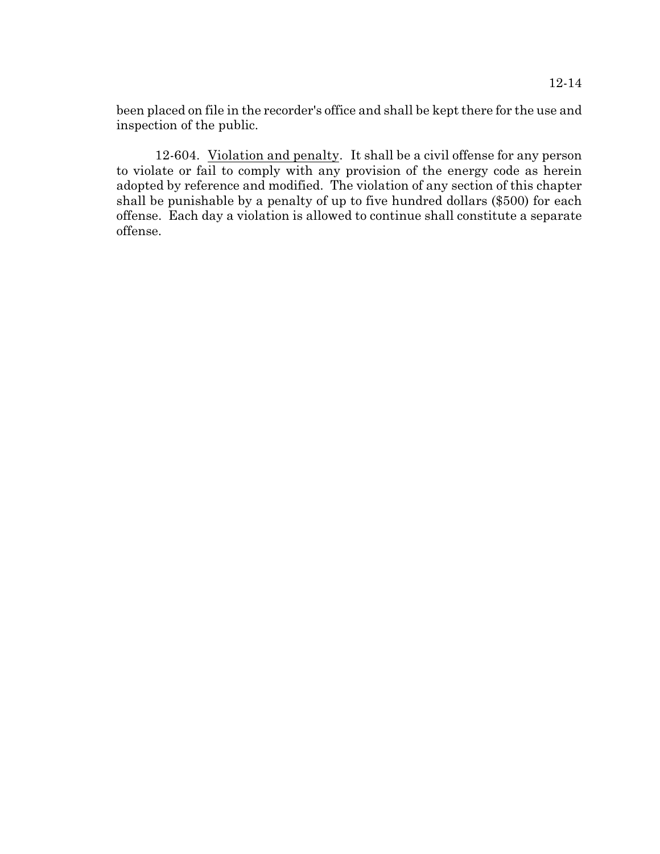12-14

been placed on file in the recorder's office and shall be kept there for the use and inspection of the public.

12-604. Violation and penalty. It shall be a civil offense for any person to violate or fail to comply with any provision of the energy code as herein adopted by reference and modified. The violation of any section of this chapter shall be punishable by a penalty of up to five hundred dollars (\$500) for each offense. Each day a violation is allowed to continue shall constitute a separate offense.